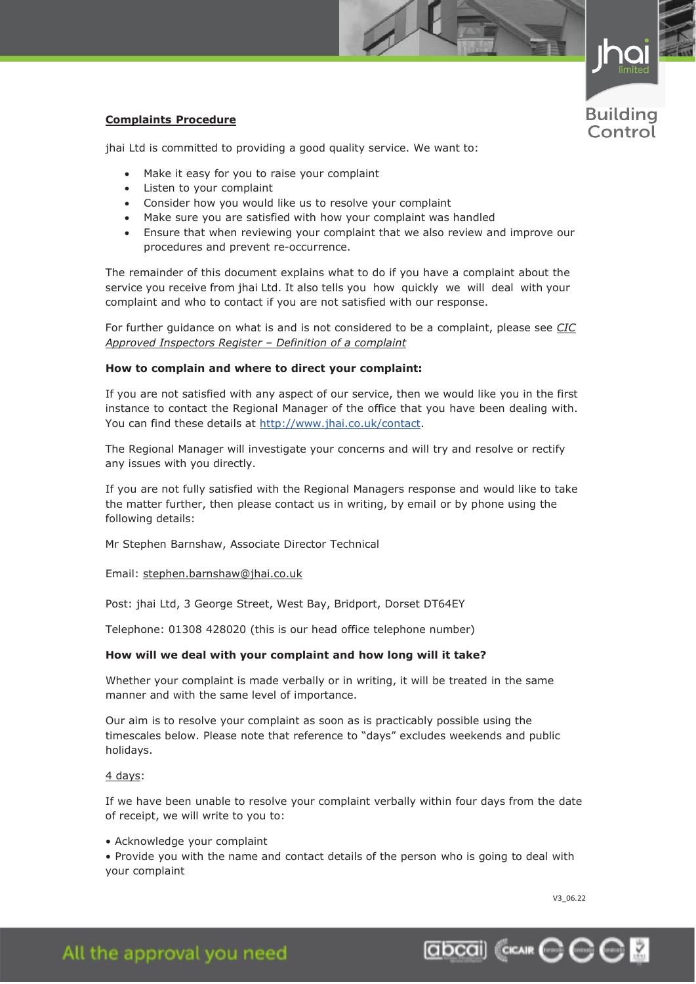

# **Complaints Procedure**

jhai Ltd is committed to providing a good quality service. We want to:

- Make it easy for you to raise your complaint
- Listen to your complaint
- Consider how you would like us to resolve your complaint
- Make sure you are satisfied with how your complaint was handled
- Ensure that when reviewing your complaint that we also review and improve our procedures and prevent re-occurrence.

The remainder of this document explains what to do if you have a complaint about the service you receive from jhai Ltd. It also tells you how quickly we will deal with your complaint and who to contact if you are not satisfied with our response.

For further guidance on what is and is not considered to be a complaint, please see *CIC Approved Inspectors Register – Definition of a complaint*

# **How to complain and where to direct your complaint:**

If you are not satisfied with any aspect of our service, then we would like you in the first instance to contact the Regional Manager of the office that you have been dealing with. You can find these details at [http://www.jhai.co.uk/contact.](http://www.jhai.co.uk/contact)

The Regional Manager will investigate your concerns and will try and resolve or rectify any issues with you directly.

If you are not fully satisfied with the Regional Managers response and would like to take the matter further, then please contact us in writing, by email or by phone using the following details:

Mr Stephen Barnshaw, Associate Director Technical

Email: [stephen.barnshaw@jhai.co.uk](mailto:stephen.barnshaw@jhai.co.uk)

Post: jhai Ltd, 3 George Street, West Bay, Bridport, Dorset DT64EY

Telephone: 01308 428020 (this is our head office telephone number)

### **How will we deal with your complaint and how long will it take?**

Whether your complaint is made verbally or in writing, it will be treated in the same manner and with the same level of importance.

Our aim is to resolve your complaint as soon as is practicably possible using the timescales below. Please note that reference to "days" excludes weekends and public holidays.

#### 4 days:

If we have been unable to resolve your complaint verbally within four days from the date of receipt, we will write to you to:

• Acknowledge your complaint

• Provide you with the name and contact details of the person who is going to deal with your complaint

V3\_06.22

Education & Training System Approval Accessibility Energy Assessments Inspections Fire Safety

# All the approval you need